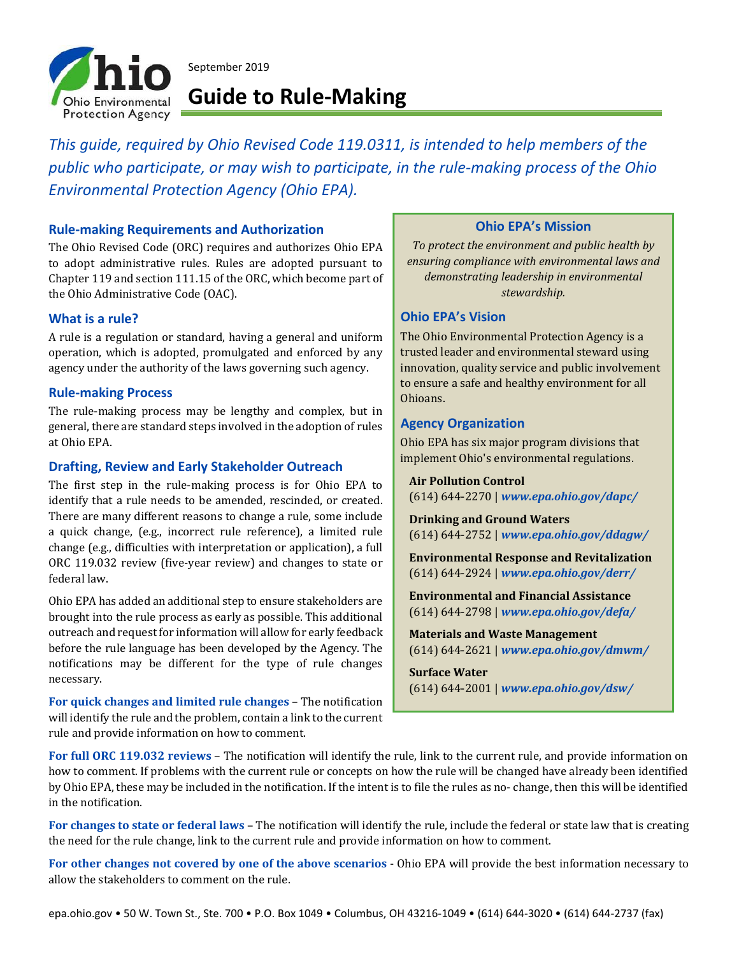

September 2019

## **Guide to Rule‐Making**

*This guide, required by Ohio Revised Code 119.0311, is intended to help members of the public who participate, or may wish to participate, in the rule‐making process of the Ohio Environmental Protection Agency (Ohio EPA).*

## **Rule‐making Requirements and Authorization**

The Ohio Revised Code (ORC) requires and authorizes Ohio EPA to adopt administrative rules. Rules are adopted pursuant to Chapter 119 and section 111.15 of the ORC, which become part of the Ohio Administrative Code (OAC).

#### **What is a rule?**

A rule is a regulation or standard, having a general and uniform operation, which is adopted, promulgated and enforced by any agency under the authority of the laws governing such agency.

#### **Rule‐making Process**

The rule-making process may be lengthy and complex, but in general, there are standard steps involved in the adoption of rules at Ohio EPA.

#### **Drafting, Review and Early Stakeholder Outreach**

The first step in the rule-making process is for Ohio EPA to identify that a rule needs to be amended, rescinded, or created. There are many different reasons to change a rule, some include a quick change, (e.g., incorrect rule reference), a limited rule change (e.g., difficulties with interpretation or application), a full ORC 119.032 review (five-year review) and changes to state or federal law.

Ohio EPA has added an additional step to ensure stakeholders are brought into the rule process as early as possible. This additional outreach and request for information will allow for early feedback before the rule language has been developed by the Agency. The notifications may be different for the type of rule changes necessary.

**For quick changes and limited rule changes** – The notification will identify the rule and the problem, contain a link to the current rule and provide information on how to comment.

#### **Ohio EPA's Mission**

*To protect the environment and public health by ensuring compliance with environmental laws and demonstrating leadership in environmental stewardship.*

#### **Ohio EPA's Vision**

The Ohio Environmental Protection Agency is a trusted leader and environmental steward using innovation, quality service and public involvement to ensure a safe and healthy environment for all Ohioans.

## **Agency Organization**

Ohio EPA has six major program divisions that implement Ohio's environmental regulations.

**Air Pollution Control** (614) 644-2270 | *www.epa.ohio.gov/dapc/*

**Drinking and Ground Waters** (614) 644-2752 | *www.epa.ohio.gov/ddagw/*

**Environmental Response and Revitalization** (614) 644-2924 | *www.epa.ohio.gov/derr/*

**Environmental and Financial Assistance** (614) 644-2798 | *www.epa.ohio.gov/defa/*

**Materials and Waste Management** (614) 644-2621 | *www.epa.ohio.gov/dmwm/*

**Surface Water** (614) 644-2001 | *www.epa.ohio.gov/dsw/*

**For full ORC 119.032 reviews** – The notification will identify the rule, link to the current rule, and provide information on how to comment. If problems with the current rule or concepts on how the rule will be changed have already been identified by Ohio EPA, these may be included in the notification. If the intent is to file the rules as no- change, then this will be identified in the notification.

**For changes to state or federal laws** – The notification will identify the rule, include the federal or state law that is creating the need for the rule change, link to the current rule and provide information on how to comment.

**For other changes not covered by one of the above scenarios** - Ohio EPA will provide the best information necessary to allow the stakeholders to comment on the rule.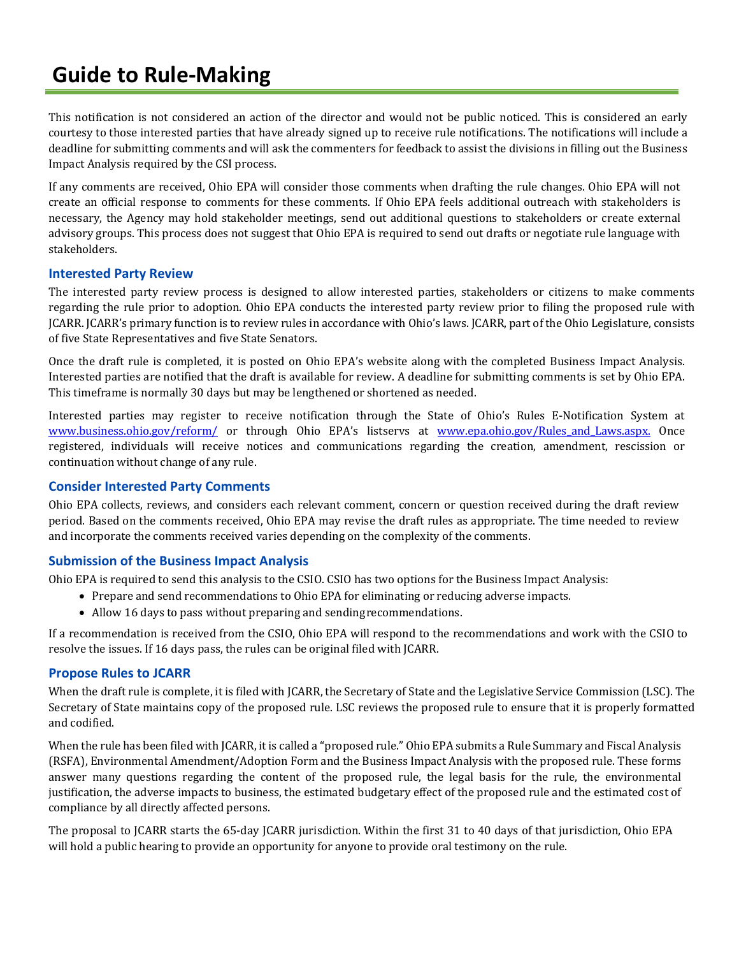# **Guide to Rule‐Making**

This notification is not considered an action of the director and would not be public noticed. This is considered an early courtesy to those interested parties that have already signed up to receive rule notifications. The notifications will include a deadline for submitting comments and will ask the commenters for feedback to assist the divisions in filling out the Business Impact Analysis required by the CSI process.

If any comments are received, Ohio EPA will consider those comments when drafting the rule changes. Ohio EPA will not create an official response to comments for these comments. If Ohio EPA feels additional outreach with stakeholders is necessary, the Agency may hold stakeholder meetings, send out additional questions to stakeholders or create external advisory groups. This process does not suggest that Ohio EPA is required to send out drafts or negotiate rule language with stakeholders.

## **Interested Party Review**

The interested party review process is designed to allow interested parties, stakeholders or citizens to make comments regarding the rule prior to adoption. Ohio EPA conducts the interested party review prior to filing the proposed rule with JCARR. JCARR's primary function is to review rules in accordance with Ohio's laws. JCARR, part of the Ohio Legislature, consists of five State Representatives and five State Senators.

Once the draft rule is completed, it is posted on Ohio EPA's website along with the completed Business Impact Analysis. Interested parties are notified that the draft is available for review. A deadline for submitting comments is set by Ohio EPA. This timeframe is normally 30 days but may be lengthened or shortened as needed.

Interested parties may register to receive notification through the State of Ohio's Rules E-Notification System at www.business.ohio.gov/reform/ or through Ohio EPA's listservs at www.epa.ohio.gov/Rules and Laws.aspx. Once registered, individuals will receive notices and communications regarding the creation, amendment, rescission or continuation without change of any rule.

## **Consider Interested Party Comments**

Ohio EPA collects, reviews, and considers each relevant comment, concern or question received during the draft review period. Based on the comments received, Ohio EPA may revise the draft rules as appropriate. The time needed to review and incorporate the comments received varies depending on the complexity of the comments.

## **Submission of the Business Impact Analysis**

Ohio EPA is required to send this analysis to the CSIO. CSIO has two options for the Business Impact Analysis:

- Prepare and send recommendations to Ohio EPA for eliminating or reducing adverse impacts.
- Allow 16 days to pass without preparing and sending recommendations.

If a recommendation is received from the CSIO, Ohio EPA will respond to the recommendations and work with the CSIO to resolve the issues. If 16 days pass, the rules can be original filed with JCARR.

#### **Propose Rules to JCARR**

When the draft rule is complete, it is filed with JCARR, the Secretary of State and the Legislative Service Commission (LSC). The Secretary of State maintains copy of the proposed rule. LSC reviews the proposed rule to ensure that it is properly formatted and codified.

When the rule has been filed with JCARR, it is called a "proposed rule." Ohio EPA submits a Rule Summary and Fiscal Analysis (RSFA), Environmental Amendment/Adoption Form and the Business Impact Analysis with the proposed rule. These forms answer many questions regarding the content of the proposed rule, the legal basis for the rule, the environmental justification, the adverse impacts to business, the estimated budgetary effect of the proposed rule and the estimated cost of compliance by all directly affected persons.

The proposal to JCARR starts the 65-day JCARR jurisdiction. Within the first 31 to 40 days of that jurisdiction, Ohio EPA will hold a public hearing to provide an opportunity for anyone to provide oral testimony on the rule.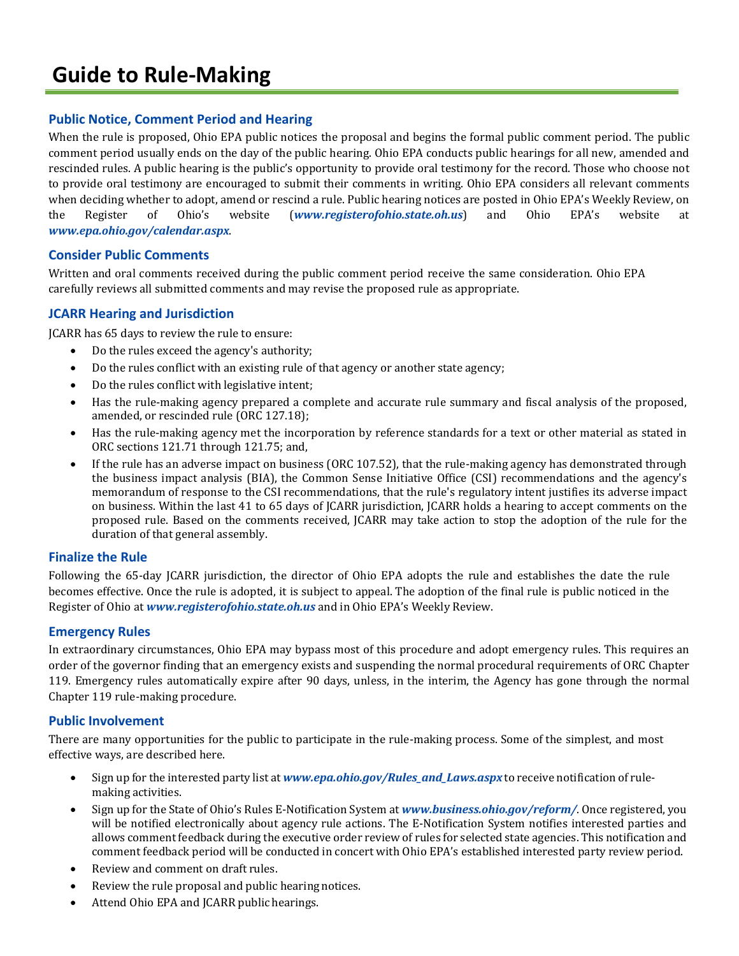## **Guide to Rule‐Making**

## **Public Notice, Comment Period and Hearing**

When the rule is proposed, Ohio EPA public notices the proposal and begins the formal public comment period. The public comment period usually ends on the day of the public hearing. Ohio EPA conducts public hearings for all new, amended and rescinded rules. A public hearing is the public's opportunity to provide oral testimony for the record. Those who choose not to provide oral testimony are encouraged to submit their comments in writing. Ohio EPA considers all relevant comments when deciding whether to adopt, amend or rescind a rule. Public hearing notices are posted in Ohio EPA's Weekly Review, on the Register of Ohio's website (*www.registerofohio.state.oh.us*) and Ohio EPA's website at *www.epa.ohio.gov/calendar.aspx*.

## **Consider Public Comments**

Written and oral comments received during the public comment period receive the same consideration. Ohio EPA carefully reviews all submitted comments and may revise the proposed rule as appropriate.

## **JCARR Hearing and Jurisdiction**

JCARR has 65 days to review the rule to ensure:

- Do the rules exceed the agency's authority;
- Do the rules conflict with an existing rule of that agency or another state agency;
- Do the rules conflict with legislative intent;
- Has the rule-making agency prepared a complete and accurate rule summary and fiscal analysis of the proposed, amended, or rescinded rule (ORC 127.18);
- Has the rule-making agency met the incorporation by reference standards for a text or other material as stated in ORC sections 121.71 through 121.75; and,
- If the rule has an adverse impact on business (ORC 107.52), that the rule-making agency has demonstrated through the business impact analysis (BIA), the Common Sense Initiative Office (CSI) recommendations and the agency's memorandum of response to the CSI recommendations, that the rule's regulatory intent justifies its adverse impact on business. Within the last 41 to 65 days of JCARR jurisdiction, JCARR holds a hearing to accept comments on the proposed rule. Based on the comments received, JCARR may take action to stop the adoption of the rule for the duration of that general assembly.

#### **Finalize the Rule**

Following the 65-day JCARR jurisdiction, the director of Ohio EPA adopts the rule and establishes the date the rule becomes effective. Once the rule is adopted, it is subject to appeal. The adoption of the final rule is public noticed in the Register of Ohio at *www.registerofohio.state.oh.us* and in Ohio EPA's Weekly Review.

#### **Emergency Rules**

In extraordinary circumstances, Ohio EPA may bypass most of this procedure and adopt emergency rules. This requires an order of the governor finding that an emergency exists and suspending the normal procedural requirements of ORC Chapter 119. Emergency rules automatically expire after 90 days, unless, in the interim, the Agency has gone through the normal Chapter 119 rule-making procedure.

## **Public Involvement**

There are many opportunities for the public to participate in the rule-making process. Some of the simplest, and most effective ways, are described here.

- Sign up for the interested party list at *www.epa.ohio.gov/Rules\_and\_Laws.aspx* to receive notification of rulemaking activities.
- Sign up for the State of Ohio's Rules E-Notification System at *www.business.ohio.gov/reform/*. Once registered, you will be notified electronically about agency rule actions. The E-Notification System notifies interested parties and allows comment feedback during the executive order review of rules for selected state agencies. This notification and comment feedback period will be conducted in concert with Ohio EPA's established interested party review period.
- Review and comment on draft rules.
- Review the rule proposal and public hearing notices.
- Attend Ohio EPA and JCARR public hearings.